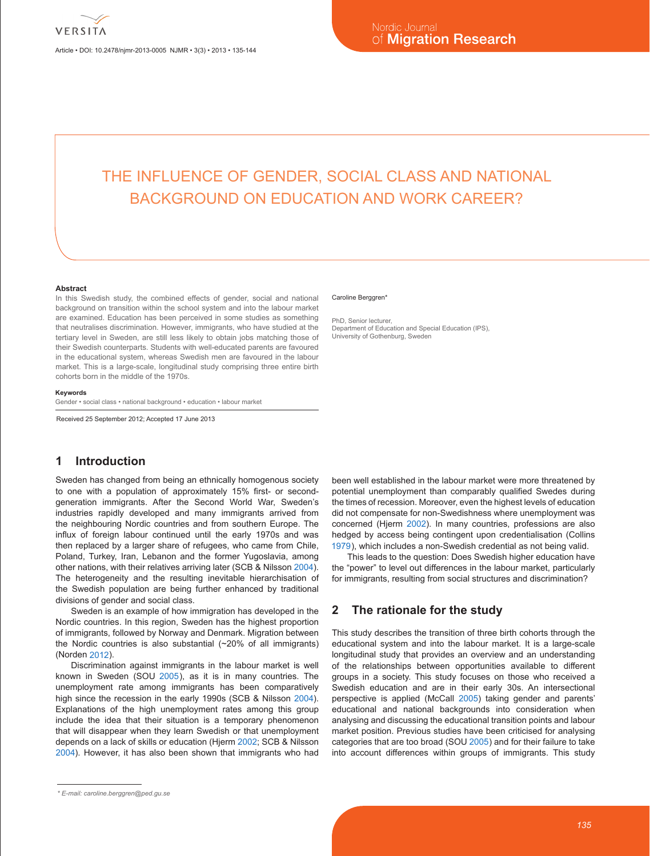Article • DOI: 10.2478/njmr-2013-0005 NJMR • 3(3) • 2013 • 135-144

# THE INFLUENCE OF GENDER, SOCIAL CLASS AND NATIONAL BACKGROUND ON FDUCATION AND WORK CARFFR?

#### **Abstract**

In this Swedish study, the combined effects of gender, social and national background on transition within the school system and into the labour market are examined. Education has been perceived in some studies as something that neutralises discrimination. However, immigrants, who have studied at the tertiary level in Sweden, are still less likely to obtain jobs matching those of their Swedish counterparts. Students with well-educated parents are favoured in the educational system, whereas Swedish men are favoured in the labour market. This is a large-scale, longitudinal study comprising three entire birth cohorts born in the middle of the 1970s.

#### **Keywords**

Gender • social class • national background • education • labour market

Received 25 September 2012; Accepted 17 June 2013

# **1 Introduction**

Sweden has changed from being an ethnically homogenous society to one with a population of approximately 15% first- or secondgeneration immigrants. After the Second World War, Sweden's industries rapidly developed and many immigrants arrived from the neighbouring Nordic countries and from southern Europe. The influx of foreign labour continued until the early 1970s and was then replaced by a larger share of refugees, who came from Chile, Poland, Turkey, Iran, Lebanon and the former Yugoslavia, among other nations, with their relatives arriving later (SCB & Nilsson 2004). The heterogeneity and the resulting inevitable hierarchisation of the Swedish population are being further enhanced by traditional divisions of gender and social class.

Sweden is an example of how immigration has developed in the Nordic countries. In this region, Sweden has the highest proportion of immigrants, followed by Norway and Denmark. Migration between the Nordic countries is also substantial (~20% of all immigrants) (Norden 2012).

Discrimination against immigrants in the labour market is well known in Sweden (SOU 2005), as it is in many countries. The unemployment rate among immigrants has been comparatively high since the recession in the early 1990s (SCB & Nilsson 2004). Explanations of the high unemployment rates among this group include the idea that their situation is a temporary phenomenon that will disappear when they learn Swedish or that unemployment depends on a lack of skills or education (Hjerm 2002; SCB & Nilsson 2004). However, it has also been shown that immigrants who had

# PhD, Senior lecturer, Caroline Berggren\*

Department of Education and Special Education (IPS), University of Gothenburg, Sweden

been well established in the labour market were more threatened by potential unemployment than comparably qualified Swedes during the times of recession. Moreover, even the highest levels of education did not compensate for non-Swedishness where unemployment was concerned (Hjerm 2002). In many countries, professions are also hedged by access being contingent upon credentialisation (Collins 1979), which includes a non-Swedish credential as not being valid.

This leads to the question: Does Swedish higher education have the "power" to level out differences in the labour market, particularly for immigrants, resulting from social structures and discrimination?

## **2 The rationale for the study**

This study describes the transition of three birth cohorts through the educational system and into the labour market. It is a large-scale longitudinal study that provides an overview and an understanding of the relationships between opportunities available to different groups in a society. This study focuses on those who received a Swedish education and are in their early 30s. An intersectional perspective is applied (McCall 2005) taking gender and parents' educational and national backgrounds into consideration when analysing and discussing the educational transition points and labour market position. Previous studies have been criticised for analysing categories that are too broad (SOU 2005) and for their failure to take into account differences within groups of immigrants. This study

*<sup>\*</sup> E-mail: caroline.berggren@ped.gu.se*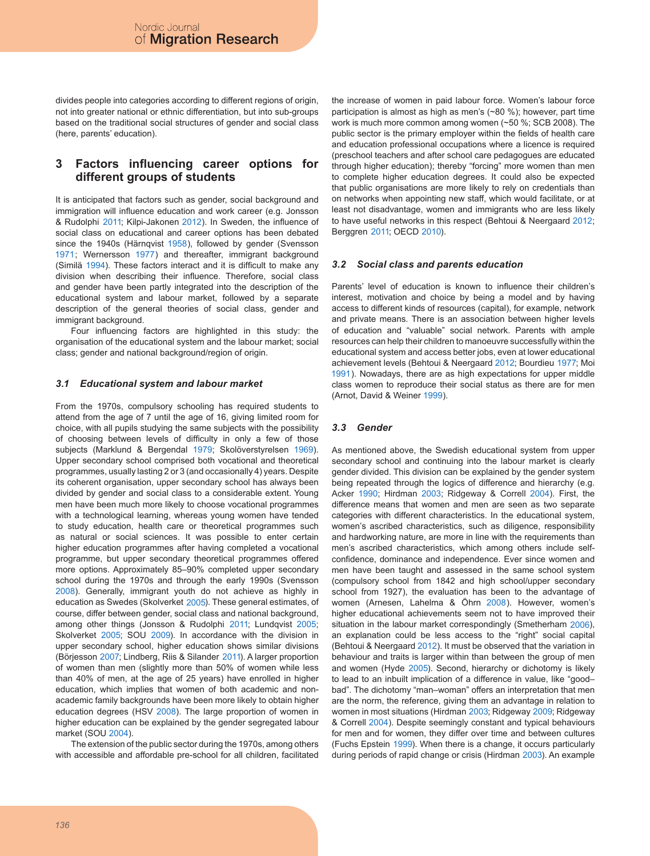divides people into categories according to different regions of origin, not into greater national or ethnic differentiation, but into sub-groups based on the traditional social structures of gender and social class (here, parents' education).

# **3 Factors influencing career options for different groups of students**

It is anticipated that factors such as gender, social background and immigration will influence education and work career (e.g. Jonsson & Rudolphi 2011; Kilpi-Jakonen 2012). In Sweden, the influence of social class on educational and career options has been debated since the 1940s (Härnqvist 1958), followed by gender (Svensson 1971; Wernersson 1977) and thereafter, immigrant background (Similä 1994). These factors interact and it is difficult to make any division when describing their influence. Therefore, social class and gender have been partly integrated into the description of the educational system and labour market, followed by a separate description of the general theories of social class, gender and immigrant background.

Four influencing factors are highlighted in this study: the organisation of the educational system and the labour market; social class; gender and national background/region of origin.

## *3.1 Educational system and labour market*

From the 1970s, compulsory schooling has required students to attend from the age of 7 until the age of 16, giving limited room for choice, with all pupils studying the same subjects with the possibility of choosing between levels of difficulty in only a few of those subjects (Marklund & Bergendal 1979; Skolöverstyrelsen 1969). Upper secondary school comprised both vocational and theoretical programmes, usually lasting 2 or 3 (and occasionally 4) years. Despite its coherent organisation, upper secondary school has always been divided by gender and social class to a considerable extent. Young men have been much more likely to choose vocational programmes with a technological learning, whereas young women have tended to study education, health care or theoretical programmes such as natural or social sciences. It was possible to enter certain higher education programmes after having completed a vocational programme, but upper secondary theoretical programmes offered more options. Approximately 85–90% completed upper secondary school during the 1970s and through the early 1990s (Svensson 2008). Generally, immigrant youth do not achieve as highly in education as Swedes (Skolverket 2005). These general estimates, of course, differ between gender, social class and national background, among other things (Jonsson & Rudolphi 2011; Lundqvist 2005; Skolverket 2005; SOU 2009). In accordance with the division in upper secondary school, higher education shows similar divisions (Börjesson 2007; Lindberg, Riis & Silander 2011). A larger proportion of women than men (slightly more than 50% of women while less than 40% of men, at the age of 25 years) have enrolled in higher education, which implies that women of both academic and nonacademic family backgrounds have been more likely to obtain higher education degrees (HSV 2008). The large proportion of women in higher education can be explained by the gender segregated labour market (SOU 2004).

The extension of the public sector during the 1970s, among others with accessible and affordable pre-school for all children, facilitated the increase of women in paid labour force. Women's labour force participation is almost as high as men's (~80 %); however, part time work is much more common among women (~50 %; SCB 2008). The public sector is the primary employer within the fields of health care and education professional occupations where a licence is required (preschool teachers and after school care pedagogues are educated through higher education); thereby "forcing" more women than men to complete higher education degrees. It could also be expected that public organisations are more likely to rely on credentials than on networks when appointing new staff, which would facilitate, or at least not disadvantage, women and immigrants who are less likely to have useful networks in this respect (Behtoui & Neergaard 2012; Berggren 2011; OECD 2010).

#### *3.2 Social class and parents education*

Parents' level of education is known to influence their children's interest, motivation and choice by being a model and by having access to different kinds of resources (capital), for example, network and private means. There is an association between higher levels of education and "valuable" social network. Parents with ample resources can help their children to manoeuvre successfully within the educational system and access better jobs, even at lower educational achievement levels (Behtoui & Neergaard 2012; Bourdieu 1977; Moi 1991). Nowadays, there are as high expectations for upper middle class women to reproduce their social status as there are for men (Arnot, David & Weiner 1999).

### *3.3 Gender*

As mentioned above, the Swedish educational system from upper secondary school and continuing into the labour market is clearly gender divided. This division can be explained by the gender system being repeated through the logics of difference and hierarchy (e.g. Acker 1990; Hirdman 2003; Ridgeway & Correll 2004). First, the difference means that women and men are seen as two separate categories with different characteristics. In the educational system, women's ascribed characteristics, such as diligence, responsibility and hardworking nature, are more in line with the requirements than men's ascribed characteristics, which among others include selfconfidence, dominance and independence. Ever since women and men have been taught and assessed in the same school system (compulsory school from 1842 and high school/upper secondary school from 1927), the evaluation has been to the advantage of women (Arnesen, Lahelma & Ohrn 2008). However, women's higher educational achievements seem not to have improved their situation in the labour market correspondingly (Smetherham 2006), an explanation could be less access to the "right" social capital (Behtoui & Neergaard 2012). It must be observed that the variation in behaviour and traits is larger within than between the group of men and women (Hyde 2005). Second, hierarchy or dichotomy is likely to lead to an inbuilt implication of a difference in value, like "good– bad". The dichotomy "man–woman" offers an interpretation that men are the norm, the reference, giving them an advantage in relation to women in most situations (Hirdman 2003; Ridgeway 2009; Ridgeway & Correll 2004). Despite seemingly constant and typical behaviours for men and for women, they differ over time and between cultures (Fuchs Epstein 1999). When there is a change, it occurs particularly during periods of rapid change or crisis (Hirdman 2003). An example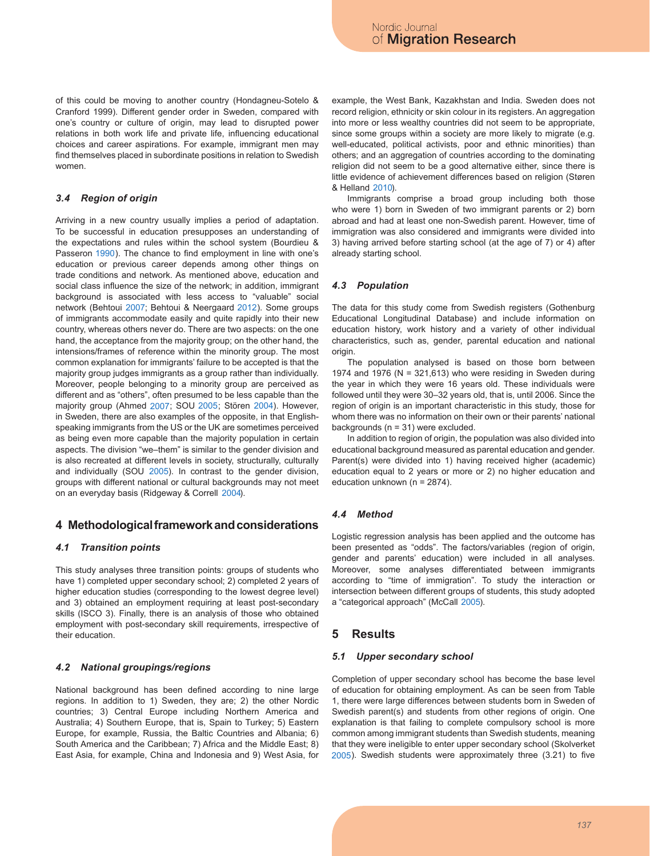of this could be moving to another country (Hondagneu-Sotelo & Cranford 1999). Different gender order in Sweden, compared with one's country or culture of origin, may lead to disrupted power relations in both work life and private life, influencing educational choices and career aspirations. For example, immigrant men may find themselves placed in subordinate positions in relation to Swedish women.

## *3.4 Region of origin*

Arriving in a new country usually implies a period of adaptation. To be successful in education presupposes an understanding of the expectations and rules within the school system (Bourdieu & Passeron 1990). The chance to find employment in line with one's education or previous career depends among other things on trade conditions and network. As mentioned above, education and social class influence the size of the network; in addition, immigrant background is associated with less access to "valuable" social network (Behtoui 2007; Behtoui & Neergaard 2012). Some groups of immigrants accommodate easily and quite rapidly into their new country, whereas others never do. There are two aspects: on the one hand, the acceptance from the majority group; on the other hand, the intensions/frames of reference within the minority group. The most common explanation for immigrants' failure to be accepted is that the majority group judges immigrants as a group rather than individually. Moreover, people belonging to a minority group are perceived as different and as "others", often presumed to be less capable than the majority group (Ahmed 2007; SOU 2005; Stören 2004). However, in Sweden, there are also examples of the opposite, in that Englishspeaking immigrants from the US or the UK are sometimes perceived as being even more capable than the majority population in certain aspects. The division "we–them" is similar to the gender division and is also recreated at different levels in society, structurally, culturally and individually (SOU 2005). In contrast to the gender division, groups with different national or cultural backgrounds may not meet on an everyday basis (Ridgeway & Correll 2004).

## **4 Methodological framework and considerations**

#### *4.1 Transition points*

This study analyses three transition points: groups of students who have 1) completed upper secondary school; 2) completed 2 years of higher education studies (corresponding to the lowest degree level) and 3) obtained an employment requiring at least post-secondary skills (ISCO 3). Finally, there is an analysis of those who obtained employment with post-secondary skill requirements, irrespective of their education.

### *4.2 National groupings/regions*

National background has been defined according to nine large regions. In addition to 1) Sweden, they are; 2) the other Nordic countries; 3) Central Europe including Northern America and Australia; 4) Southern Europe, that is, Spain to Turkey; 5) Eastern Europe, for example, Russia, the Baltic Countries and Albania; 6) South America and the Caribbean; 7) Africa and the Middle East; 8) East Asia, for example, China and Indonesia and 9) West Asia, for example, the West Bank, Kazakhstan and India. Sweden does not record religion, ethnicity or skin colour in its registers. An aggregation into more or less wealthy countries did not seem to be appropriate, since some groups within a society are more likely to migrate (e.g. well-educated, political activists, poor and ethnic minorities) than others; and an aggregation of countries according to the dominating religion did not seem to be a good alternative either, since there is little evidence of achievement differences based on religion (Støren & Helland 2010).

Immigrants comprise a broad group including both those who were 1) born in Sweden of two immigrant parents or 2) born abroad and had at least one non-Swedish parent. However, time of immigration was also considered and immigrants were divided into 3) having arrived before starting school (at the age of 7) or 4) after already starting school.

#### *4.3 Population*

The data for this study come from Swedish registers (Gothenburg Educational Longitudinal Database) and include information on education history, work history and a variety of other individual characteristics, such as, gender, parental education and national origin.

The population analysed is based on those born between 1974 and 1976 ( $N = 321,613$ ) who were residing in Sweden during the year in which they were 16 years old. These individuals were followed until they were 30–32 years old, that is, until 2006. Since the region of origin is an important characteristic in this study, those for whom there was no information on their own or their parents' national backgrounds ( $n = 31$ ) were excluded.

In addition to region of origin, the population was also divided into educational background measured as parental education and gender. Parent(s) were divided into 1) having received higher (academic) education equal to 2 years or more or 2) no higher education and education unknown (n = 2874).

#### *4.4 Method*

Logistic regression analysis has been applied and the outcome has been presented as "odds". The factors/variables (region of origin, gender and parents' education) were included in all analyses. Moreover, some analyses differentiated between immigrants according to "time of immigration". To study the interaction or intersection between different groups of students, this study adopted a "categorical approach" (McCall 2005).

## **5 Results**

#### *5.1 Upper secondary school*

Completion of upper secondary school has become the base level of education for obtaining employment. As can be seen from Table 1, there were large differences between students born in Sweden of Swedish parent(s) and students from other regions of origin. One explanation is that failing to complete compulsory school is more common among immigrant students than Swedish students, meaning that they were ineligible to enter upper secondary school (Skolverket 2005). Swedish students were approximately three (3.21) to five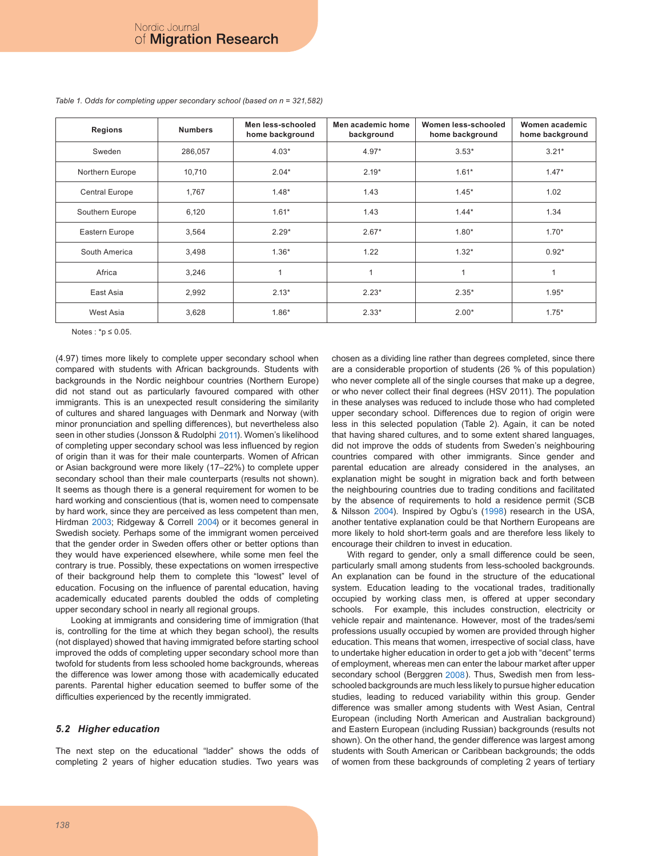| <b>Regions</b>  | <b>Numbers</b> | Men less-schooled<br>home background | Men academic home<br>background | Women less-schooled<br>home background | Women academic<br>home background |
|-----------------|----------------|--------------------------------------|---------------------------------|----------------------------------------|-----------------------------------|
| Sweden          | 286,057        | $4.03*$                              | $4.97*$                         | $3.53*$                                | $3.21*$                           |
| Northern Europe | 10,710         | $2.04*$                              | $2.19*$                         | $1.61*$                                | $1.47*$                           |
| Central Europe  | 1,767          | $1.48*$                              | 1.43                            | $1.45*$                                | 1.02                              |
| Southern Europe | 6,120          | $1.61*$                              | 1.43                            | $1.44*$                                | 1.34                              |
| Eastern Europe  | 3,564          | $2.29*$                              | $2.67*$                         | $1.80*$                                | $1.70*$                           |
| South America   | 3,498          | $1.36*$                              | 1.22                            | $1.32*$                                | $0.92*$                           |
| Africa          | 3,246          | и                                    | 1                               |                                        | 1                                 |
| East Asia       | 2,992          | $2.13*$                              | $2.23*$                         | $2.35*$                                | $1.95*$                           |
| West Asia       | 3,628          | $1.86*$                              | $2.33*$                         | $2.00*$                                | $1.75*$                           |

*Table 1. Odds for completing upper secondary school (based on n = 321,582)*

Notes : \*p ≤ 0.05.

(4.97) times more likely to complete upper secondary school when compared with students with African backgrounds. Students with backgrounds in the Nordic neighbour countries (Northern Europe) did not stand out as particularly favoured compared with other immigrants. This is an unexpected result considering the similarity of cultures and shared languages with Denmark and Norway (with minor pronunciation and spelling differences), but nevertheless also seen in other studies (Jonsson & Rudolphi 2011). Women's likelihood of completing upper secondary school was less influenced by region of origin than it was for their male counterparts. Women of African or Asian background were more likely (17–22%) to complete upper secondary school than their male counterparts (results not shown). It seems as though there is a general requirement for women to be hard working and conscientious (that is, women need to compensate by hard work, since they are perceived as less competent than men, Hirdman 2003; Ridgeway & Correll 2004) or it becomes general in Swedish society. Perhaps some of the immigrant women perceived that the gender order in Sweden offers other or better options than they would have experienced elsewhere, while some men feel the contrary is true. Possibly, these expectations on women irrespective of their background help them to complete this "lowest" level of education. Focusing on the influence of parental education, having academically educated parents doubled the odds of completing upper secondary school in nearly all regional groups.

Looking at immigrants and considering time of immigration (that is, controlling for the time at which they began school), the results (not displayed) showed that having immigrated before starting school improved the odds of completing upper secondary school more than twofold for students from less schooled home backgrounds, whereas the difference was lower among those with academically educated parents. Parental higher education seemed to buffer some of the difficulties experienced by the recently immigrated.

#### *5.2 Higher education*

The next step on the educational "ladder" shows the odds of completing 2 years of higher education studies. Two years was chosen as a dividing line rather than degrees completed, since there are a considerable proportion of students (26 % of this population) who never complete all of the single courses that make up a degree, or who never collect their final degrees (HSV 2011). The population in these analyses was reduced to include those who had completed upper secondary school. Differences due to region of origin were less in this selected population (Table 2). Again, it can be noted that having shared cultures, and to some extent shared languages, did not improve the odds of students from Sweden's neighbouring countries compared with other immigrants. Since gender and parental education are already considered in the analyses, an explanation might be sought in migration back and forth between the neighbouring countries due to trading conditions and facilitated by the absence of requirements to hold a residence permit (SCB & Nilsson 2004). Inspired by Ogbu's (1998) research in the USA, another tentative explanation could be that Northern Europeans are more likely to hold short-term goals and are therefore less likely to encourage their children to invest in education.

With regard to gender, only a small difference could be seen, particularly small among students from less-schooled backgrounds. An explanation can be found in the structure of the educational system. Education leading to the vocational trades, traditionally occupied by working class men, is offered at upper secondary schools. For example, this includes construction, electricity or vehicle repair and maintenance. However, most of the trades/semi professions usually occupied by women are provided through higher education. This means that women, irrespective of social class, have to undertake higher education in order to get a job with "decent" terms of employment, whereas men can enter the labour market after upper secondary school (Berggren 2008). Thus, Swedish men from lessschooled backgrounds are much less likely to pursue higher education studies, leading to reduced variability within this group. Gender difference was smaller among students with West Asian, Central European (including North American and Australian background) and Eastern European (including Russian) backgrounds (results not shown). On the other hand, the gender difference was largest among students with South American or Caribbean backgrounds; the odds of women from these backgrounds of completing 2 years of tertiary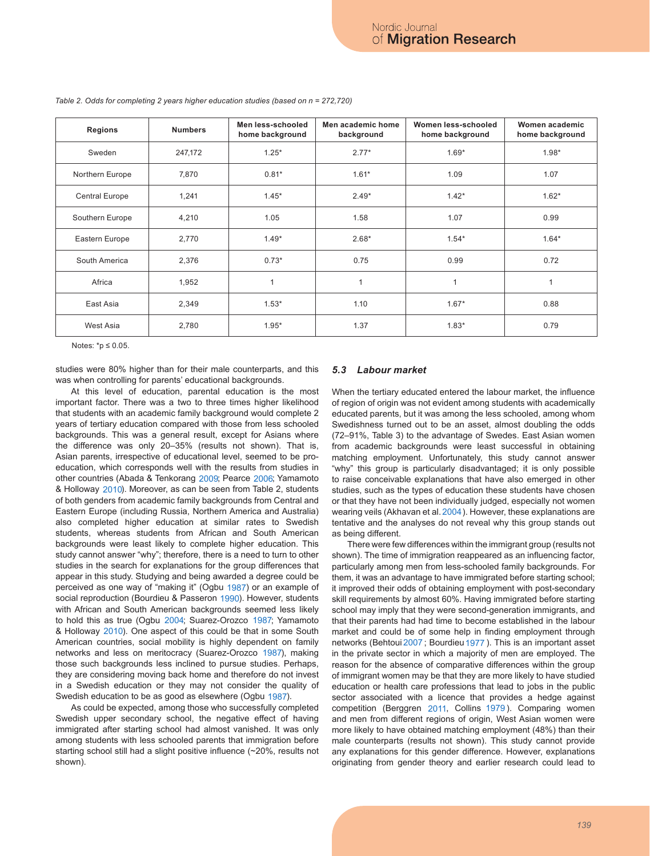| <b>Regions</b>        | <b>Numbers</b> | Men less-schooled<br>home background | Men academic home<br>Women less-schooled<br>background<br>home background |         | Women academic<br>home background |
|-----------------------|----------------|--------------------------------------|---------------------------------------------------------------------------|---------|-----------------------------------|
| Sweden                | 247,172        | $1.25*$                              | $2.77*$                                                                   | $1.69*$ | $1.98*$                           |
| Northern Europe       | 7,870          | $0.81*$                              | $1.61*$                                                                   | 1.09    | 1.07                              |
| <b>Central Europe</b> | 1,241          | $1.45*$                              | $2.49*$                                                                   | $1.42*$ | $1.62*$                           |
| Southern Europe       | 4,210          | 1.05                                 | 1.58                                                                      | 1.07    | 0.99                              |
| Eastern Europe        | 2,770          | $1.49*$                              | $2.68*$                                                                   | $1.54*$ | $1.64*$                           |
| South America         | 2,376          | $0.73*$                              | 0.75                                                                      | 0.99    | 0.72                              |
| Africa                | 1,952          |                                      | $\mathbf{1}$                                                              | 1       | $\mathbf 1$                       |
| East Asia             | 2,349          | $1.53*$                              | 1.10                                                                      | $1.67*$ | 0.88                              |
| West Asia             | 2,780          | $1.95*$                              | 1.37                                                                      | $1.83*$ |                                   |

*Table 2. Odds for completing 2 years higher education studies (based on n = 272,720)*

Notes: \*p ≤ 0.05.

studies were 80% higher than for their male counterparts, and this was when controlling for parents' educational backgrounds.

At this level of education, parental education is the most important factor. There was a two to three times higher likelihood that students with an academic family background would complete 2 years of tertiary education compared with those from less schooled backgrounds. This was a general result, except for Asians where the difference was only 20–35% (results not shown). That is, Asian parents, irrespective of educational level, seemed to be proeducation, which corresponds well with the results from studies in other countries (Abada & Tenkorang 2009; Pearce 2006; Yamamoto & Holloway 2010). Moreover, as can be seen from Table 2, students of both genders from academic family backgrounds from Central and Eastern Europe (including Russia, Northern America and Australia) also completed higher education at similar rates to Swedish students, whereas students from African and South American backgrounds were least likely to complete higher education. This study cannot answer "why"; therefore, there is a need to turn to other studies in the search for explanations for the group differences that appear in this study. Studying and being awarded a degree could be perceived as one way of "making it" (Ogbu 1987) or an example of social reproduction (Bourdieu & Passeron 1990). However, students with African and South American backgrounds seemed less likely to hold this as true (Ogbu 2004; Suarez-Orozco 1987; Yamamoto & Holloway 2010). One aspect of this could be that in some South American countries, social mobility is highly dependent on family networks and less on meritocracy (Suarez-Orozco 1987), making those such backgrounds less inclined to pursue studies. Perhaps, they are considering moving back home and therefore do not invest in a Swedish education or they may not consider the quality of Swedish education to be as good as elsewhere (Ogbu 1987).

As could be expected, among those who successfully completed Swedish upper secondary school, the negative effect of having immigrated after starting school had almost vanished. It was only among students with less schooled parents that immigration before starting school still had a slight positive influence (~20%, results not shown).

#### *5.3 Labour market*

When the tertiary educated entered the labour market, the influence of region of origin was not evident among students with academically educated parents, but it was among the less schooled, among whom Swedishness turned out to be an asset, almost doubling the odds (72–91%, Table 3) to the advantage of Swedes. East Asian women from academic backgrounds were least successful in obtaining matching employment. Unfortunately, this study cannot answer "why" this group is particularly disadvantaged; it is only possible to raise conceivable explanations that have also emerged in other studies, such as the types of education these students have chosen or that they have not been individually judged, especially not women wearing veils (Akhavan et al. 2004). However, these explanations are tentative and the analyses do not reveal why this group stands out as being different.

There were few differences within the immigrant group (results not shown). The time of immigration reappeared as an influencing factor, particularly among men from less-schooled family backgrounds. For them, it was an advantage to have immigrated before starting school; it improved their odds of obtaining employment with post-secondary skill requirements by almost 60%. Having immigrated before starting school may imply that they were second-generation immigrants, and that their parents had had time to become established in the labour market and could be of some help in finding employment through networks (Behtoui 2007; Bourdieu 1977). This is an important asset in the private sector in which a majority of men are employed. The reason for the absence of comparative differences within the group of immigrant women may be that they are more likely to have studied education or health care professions that lead to jobs in the public sector associated with a licence that provides a hedge against competition (Berggren 2011, Collins 1979). Comparing women and men from different regions of origin, West Asian women were more likely to have obtained matching employment (48%) than their male counterparts (results not shown). This study cannot provide any explanations for this gender difference. However, explanations originating from gender theory and earlier research could lead to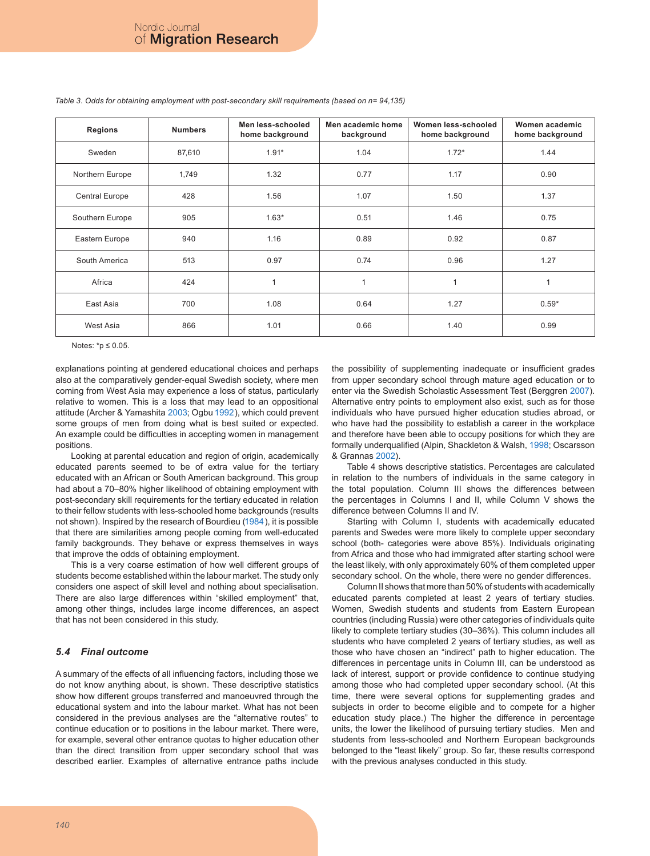| <b>Regions</b>        | <b>Numbers</b> | Men less-schooled<br>home background | Men academic home<br>Women less-schooled<br>background<br>home background |              | Women academic<br>home background |
|-----------------------|----------------|--------------------------------------|---------------------------------------------------------------------------|--------------|-----------------------------------|
| Sweden                | 87,610         | $1.91*$                              | 1.04                                                                      | $1.72*$      | 1.44                              |
| Northern Europe       | 1,749          | 1.32                                 | 0.77                                                                      | 1.17         |                                   |
| <b>Central Europe</b> | 428            | 1.56                                 | 1.07                                                                      | 1.50         | 1.37                              |
| Southern Europe       | 905            | $1.63*$                              | 0.51                                                                      | 1.46         | 0.75                              |
| Eastern Europe        | 940            | 1.16                                 | 0.89                                                                      | 0.92         | 0.87                              |
| South America         | 513            | 0.97                                 | 0.74                                                                      | 0.96         | 1.27                              |
| Africa                | 424            | 1                                    | $\mathbf 1$                                                               | $\mathbf{1}$ |                                   |
| East Asia             | 700            | 1.08                                 | 0.64                                                                      | 1.27         | $0.59*$                           |
| West Asia             | 866            | 1.01                                 | 0.66                                                                      | 1.40         | 0.99                              |

*Table 3. Odds for obtaining employment with post-secondary skill requirements (based on n= 94,135)*

Notes: \*p ≤ 0.05.

explanations pointing at gendered educational choices and perhaps also at the comparatively gender-equal Swedish society, where men coming from West Asia may experience a loss of status, particularly relative to women. This is a loss that may lead to an oppositional attitude (Archer & Yamashita 2003; Ogbu 1992), which could prevent some groups of men from doing what is best suited or expected. An example could be difficulties in accepting women in management positions.

Looking at parental education and region of origin, academically educated parents seemed to be of extra value for the tertiary educated with an African or South American background. This group had about a 70–80% higher likelihood of obtaining employment with post-secondary skill requirements for the tertiary educated in relation to their fellow students with less-schooled home backgrounds (results not shown). Inspired by the research of Bourdieu (1984), it is possible that there are similarities among people coming from well-educated family backgrounds. They behave or express themselves in ways that improve the odds of obtaining employment.

This is a very coarse estimation of how well different groups of students become established within the labour market. The study only considers one aspect of skill level and nothing about specialisation. There are also large differences within "skilled employment" that, among other things, includes large income differences, an aspect that has not been considered in this study.

#### *5.4 Final outcome*

A summary of the effects of all influencing factors, including those we do not know anything about, is shown. These descriptive statistics show how different groups transferred and manoeuvred through the educational system and into the labour market. What has not been considered in the previous analyses are the "alternative routes" to continue education or to positions in the labour market. There were, for example, several other entrance quotas to higher education other than the direct transition from upper secondary school that was described earlier. Examples of alternative entrance paths include the possibility of supplementing inadequate or insufficient grades from upper secondary school through mature aged education or to enter via the Swedish Scholastic Assessment Test (Berggren 2007). Alternative entry points to employment also exist, such as for those individuals who have pursued higher education studies abroad, or who have had the possibility to establish a career in the workplace and therefore have been able to occupy positions for which they are formally underqualified (Alpin, Shackleton & Walsh, 1998; Oscarsson & Grannas 2002).

Table 4 shows descriptive statistics. Percentages are calculated in relation to the numbers of individuals in the same category in the total population. Column III shows the differences between the percentages in Columns I and II, while Column V shows the difference between Columns II and IV.

Starting with Column I, students with academically educated parents and Swedes were more likely to complete upper secondary school (both- categories were above 85%). Individuals originating from Africa and those who had immigrated after starting school were the least likely, with only approximately 60% of them completed upper secondary school. On the whole, there were no gender differences.

Column II shows that more than 50% of students with academically educated parents completed at least 2 years of tertiary studies. Women, Swedish students and students from Eastern European countries (including Russia) were other categories of individuals quite likely to complete tertiary studies (30–36%). This column includes all students who have completed 2 years of tertiary studies, as well as those who have chosen an "indirect" path to higher education. The differences in percentage units in Column III, can be understood as lack of interest, support or provide confidence to continue studying among those who had completed upper secondary school. (At this time, there were several options for supplementing grades and subjects in order to become eligible and to compete for a higher education study place.) The higher the difference in percentage units, the lower the likelihood of pursuing tertiary studies. Men and students from less-schooled and Northern European backgrounds belonged to the "least likely" group. So far, these results correspond with the previous analyses conducted in this study.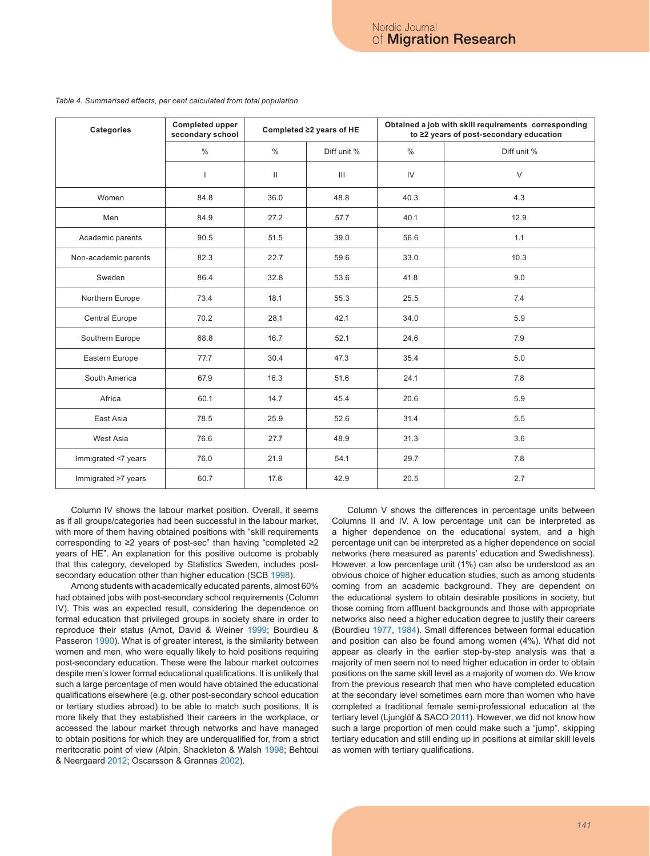| Categories           | <b>Completed upper</b><br>secondary school | Completed ≥2 years of HE |             | Obtained a job with skill requirements corresponding<br>to ≥2 years of post-secondary education |             |  |
|----------------------|--------------------------------------------|--------------------------|-------------|-------------------------------------------------------------------------------------------------|-------------|--|
|                      | $\%$                                       | $\%$                     | Diff unit % | $\%$                                                                                            | Diff unit % |  |
|                      |                                            | $\mathbf{H}$             | III         | IV                                                                                              | $\vee$      |  |
| Women                | 84.8                                       | 36.0                     | 48.8        | 40.3                                                                                            | 4.3         |  |
| Men                  | 84.9                                       | 27.2                     | 57.7        | 40.1                                                                                            | 12.9        |  |
| Academic parents     | 90.5                                       | 51.5                     | 39.0        | 56.6                                                                                            | 1.1         |  |
| Non-academic parents | 82.3                                       | 22.7                     | 59.6        | 33.0                                                                                            | 10.3        |  |
| Sweden               | 86.4                                       | 32.8                     | 53.6        | 41.8                                                                                            | 9.0         |  |
| Northern Europe      | 73.4                                       | 18.1                     | 55.3        | 25.5                                                                                            | 7.4         |  |
| Central Europe       | 70.2                                       | 28.1                     | 42.1        | 34.0                                                                                            | 5.9         |  |
| Southern Europe      | 68.8                                       | 16.7                     | 52.1        | 24.6                                                                                            | 7.9         |  |
| Eastern Europe       | 77.7                                       | 30.4                     | 47.3        | 35.4                                                                                            | 5.0         |  |
| South America        | 67.9                                       | 16.3                     | 51.6        | 24.1                                                                                            | 7.8         |  |
| Africa               | 60.1                                       | 14.7                     | 45.4        | 20.6                                                                                            | 5.9         |  |
| East Asia            | 78.5                                       | 25.9                     | 52.6        | 31.4                                                                                            | 5.5         |  |
| West Asia            | 76.6                                       | 27.7                     | 48.9        | 31.3                                                                                            | 3.6         |  |
| Immigrated <7 years  | 76.0                                       | 21.9                     | 54.1        | 29.7                                                                                            | 7.8         |  |
| Immigrated >7 years  | 60.7                                       | 17.8                     | 42.9        | 20.5                                                                                            | 2.7         |  |

#### *Table 4. Summarised effects, per cent calculated from total population*

Column IV shows the labour market position. Overall, it seems as if all groups/categories had been successful in the labour market, with more of them having obtained positions with "skill requirements corresponding to ≥2 years of post-sec" than having "completed ≥2 years of HE". An explanation for this positive outcome is probably that this category, developed by Statistics Sweden, includes postsecondary education other than higher education (SCB 1998).

Among students with academically educated parents, almost 60% had obtained jobs with post-secondary school requirements (Column IV). This was an expected result, considering the dependence on formal education that privileged groups in society share in order to reproduce their status (Arnot, David & Weiner 1999; Bourdieu & Passeron 1990). What is of greater interest, is the similarity between women and men, who were equally likely to hold positions requiring post-secondary education. These were the labour market outcomes despite men's lower formal educational qualifications. It is unlikely that such a large percentage of men would have obtained the educational qualifications elsewhere (e.g. other post-secondary school education or tertiary studies abroad) to be able to match such positions. It is more likely that they established their careers in the workplace, or accessed the labour market through networks and have managed to obtain positions for which they are underqualified for, from a strict meritocratic point of view (Alpin, Shackleton & Walsh 1998; Behtoui & Neergaard 2012; Oscarsson & Grannas 2002).

Column V shows the differences in percentage units between Columns II and IV. A low percentage unit can be interpreted as a higher dependence on the educational system, and a high percentage unit can be interpreted as a higher dependence on social networks (here measured as parents' education and Swedishness). However, a low percentage unit (1%) can also be understood as an obvious choice of higher education studies, such as among students coming from an academic background. They are dependent on the educational system to obtain desirable positions in society, but those coming from affluent backgrounds and those with appropriate networks also need a higher education degree to justify their careers (Bourdieu 1977, 1984). Small differences between formal education and position can also be found among women (4%). What did not appear as clearly in the earlier step-by-step analysis was that a majority of men seem not to need higher education in order to obtain positions on the same skill level as a majority of women do. We know from the previous research that men who have completed education at the secondary level sometimes earn more than women who have completed a traditional female semi-professional education at the tertiary level (Ljunglöf & SACO 2011). However, we did not know how such a large proportion of men could make such a "jump", skipping tertiary education and still ending up in positions at similar skill levels as women with tertiary qualifications.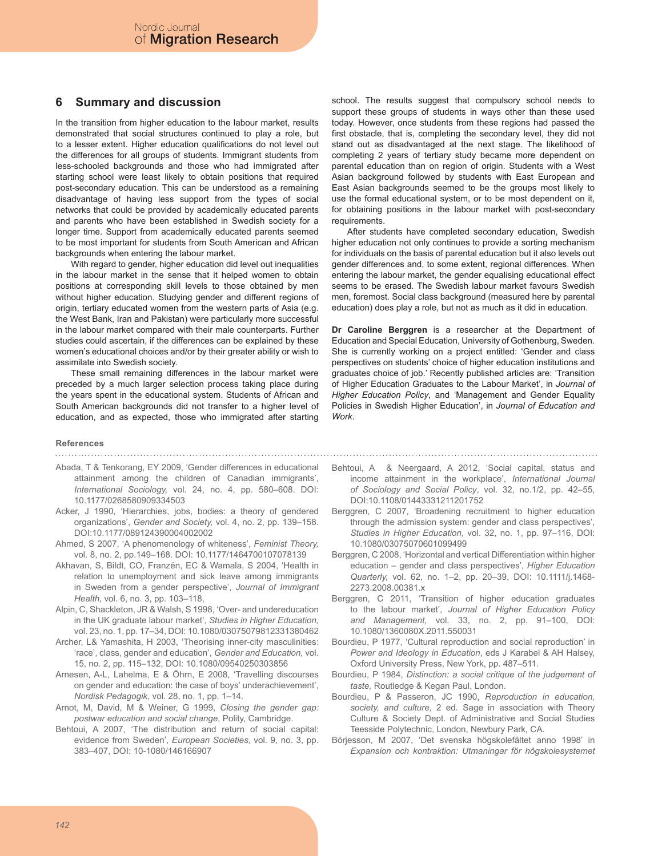# **6 Summary and discussion**

In the transition from higher education to the labour market, results demonstrated that social structures continued to play a role, but to a lesser extent. Higher education qualifications do not level out the differences for all groups of students. Immigrant students from less-schooled backgrounds and those who had immigrated after starting school were least likely to obtain positions that required post-secondary education. This can be understood as a remaining disadvantage of having less support from the types of social networks that could be provided by academically educated parents and parents who have been established in Swedish society for a longer time. Support from academically educated parents seemed to be most important for students from South American and African backgrounds when entering the labour market.

With regard to gender, higher education did level out inequalities in the labour market in the sense that it helped women to obtain positions at corresponding skill levels to those obtained by men without higher education. Studying gender and different regions of origin, tertiary educated women from the western parts of Asia (e.g. the West Bank, Iran and Pakistan) were particularly more successful in the labour market compared with their male counterparts. Further studies could ascertain, if the differences can be explained by these women's educational choices and/or by their greater ability or wish to assimilate into Swedish society.

These small remaining differences in the labour market were preceded by a much larger selection process taking place during the years spent in the educational system. Students of African and South American backgrounds did not transfer to a higher level of education, and as expected, those who immigrated after starting

school. The results suggest that compulsory school needs to support these groups of students in ways other than these used today. However, once students from these regions had passed the first obstacle, that is, completing the secondary level, they did not stand out as disadvantaged at the next stage. The likelihood of completing 2 years of tertiary study became more dependent on parental education than on region of origin. Students with a West Asian background followed by students with East European and East Asian backgrounds seemed to be the groups most likely to use the formal educational system, or to be most dependent on it, for obtaining positions in the labour market with post-secondary requirements.

After students have completed secondary education, Swedish higher education not only continues to provide a sorting mechanism for individuals on the basis of parental education but it also levels out gender differences and, to some extent, regional differences. When entering the labour market, the gender equalising educational effect seems to be erased. The Swedish labour market favours Swedish men, foremost. Social class background (measured here by parental education) does play a role, but not as much as it did in education.

**Dr Caroline Berggren** is a researcher at the Department of Education and Special Education, University of Gothenburg, Sweden. She is currently working on a project entitled: 'Gender and class perspectives on students' choice of higher education institutions and graduates choice of job.' Recently published articles are: 'Transition of Higher Education Graduates to the Labour Market', in *Journal of Higher Education Policy*, and 'Management and Gender Equality Policies in Swedish Higher Education', in *Journal of Education and Work*.

#### **References**

Abada, T & Tenkorang, EY 2009, 'Gender differences in educational attainment among the children of Canadian immigrants', *International Sociology,* vol. 24, no. 4, pp. 580–608. DOI: 10.1177/0268580909334503

- Acker, J 1990, 'Hierarchies, jobs, bodies: a theory of gendered organizations', *Gender and Society,* vol. 4, no. 2, pp. 139–158. DOI:10.1177/089124390004002002
- Ahmed, S 2007, 'A phenomenology of whiteness', *Feminist Theory,*  vol. 8, no. 2, pp.149–168. DOI: 10.1177/1464700107078139
- Akhavan, S, Bildt, CO, Franzén, EC & Wamala, S 2004, 'Health in relation to unemployment and sick leave among immigrants in Sweden from a gender perspective', *Journal of Immigrant Health,* vol. 6, no. 3, pp. 103–118,
- Alpin, C, Shackleton, JR & Walsh, S 1998, 'Over- and undereducation in the UK graduate labour market', *Studies in Higher Education,*  vol. 23, no. 1, pp. 17–34, DOI: 10.1080/03075079812331380462
- Archer, L& Yamashita, H 2003, 'Theorising inner-city masculinities: 'race', class, gender and education', *Gender and Education,* vol. 15, no. 2, pp. 115–132, DOI: 10.1080/09540250303856
- Arnesen, A-L, Lahelma, E & Öhrn, E 2008, 'Travelling discourses on gender and education: the case of boys' underachievement', *Nordisk Pedagogik,* vol. 28, no. 1, pp. 1–14.
- Arnot, M, David, M & Weiner, G 1999, *Closing the gender gap: postwar education and social change*, Polity, Cambridge.
- Behtoui, A 2007, 'The distribution and return of social capital: evidence from Sweden', *European Societies*, vol. 9, no. 3, pp. 383–407, DOI: 10-1080/146166907
- Behtoui, A & Neergaard, A 2012, 'Social capital, status and income attainment in the workplace', *International Journal of Sociology and Social Policy*, vol. 32, no.1/2, pp. 42–55, DOI:10.1108/01443331211201752
- Berggren, C 2007, 'Broadening recruitment to higher education through the admission system: gender and class perspectives', *Studies in Higher Education,* vol. 32, no. 1, pp. 97–116, DOI: 10.1080/03075070601099499
- Berggren, C 2008, 'Horizontal and vertical Differentiation within higher education – gender and class perspectives', *Higher Education Quarterly,* vol. 62, no. 1–2, pp. 20–39, DOI: 10.1111/j.1468- 2273.2008.00381.x
- Berggren, C 2011, 'Transition of higher education graduates to the labour market', *Journal of Higher Education Policy and Management,* vol. 33, no. 2, pp. 91–100, DOI: 10.1080/1360080X.2011.550031
- Bourdieu, P 1977, 'Cultural reproduction and social reproduction' in *Power and Ideology in Education*, eds J Karabel & AH Halsey, Oxford University Press, New York, pp. 487–511.
- Bourdieu, P 1984, *Distinction: a social critique of the judgement of taste,* Routledge & Kegan Paul, London.
- Bourdieu, P & Passeron, JC 1990, *Reproduction in education, society, and culture,* 2 ed. Sage in association with Theory Culture & Society Dept. of Administrative and Social Studies Teesside Polytechnic, London, Newbury Park, CA.
- Börjesson, M 2007, 'Det svenska högskolefältet anno 1998' in *Expansion och kontraktion: Utmaningar för högskolesystemet*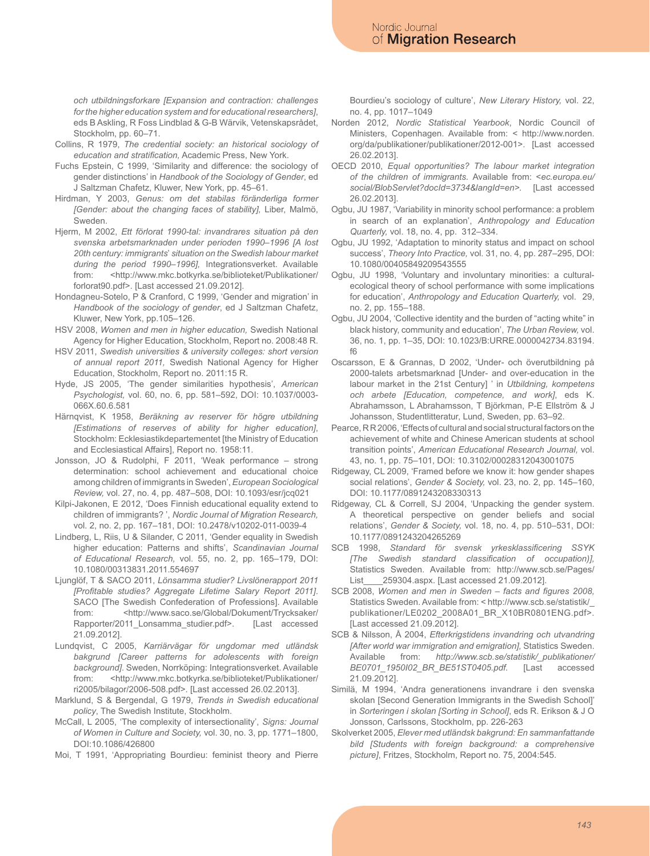*och utbildningsforkare [Expansion and contraction: challenges for the higher education system and for educational researchers]*, eds B Askling, R Foss Lindblad & G-B Wärvik, Vetenskapsrådet, Stockholm, pp. 60–71.

- Collins, R 1979, *The credential society: an historical sociology of education and stratification,* Academic Press, New York.
- Fuchs Epstein, C 1999, 'Similarity and difference: the sociology of gender distinctions' in *Handbook of the Sociology of Gender*, ed J Saltzman Chafetz, Kluwer, New York, pp. 45–61.
- Hirdman, Y 2003, *Genus: om det stabilas föränderliga former [Gender: about the changing faces of stability],* Liber, Malmö, Sweden.
- Hjerm, M 2002, *Ett förlorat 1990-tal: invandrares situation på den svenska arbetsmarknaden under perioden 1990*–*1996 [A lost 20th century: immigrants*' *situation on the Swedish labour market during the period 1990*–*1996],* Integrationsverket. Available from: <http://www.mkc.botkyrka.se/biblioteket/Publikationer/ forlorat90.pdf>. [Last accessed 21.09.2012].
- Hondagneu-Sotelo, P & Cranford, C 1999, 'Gender and migration' in *Handbook of the sociology of gender*, ed J Saltzman Chafetz, Kluwer, New York, pp.105–126.
- HSV 2008, *Women and men in higher education,* Swedish National Agency for Higher Education, Stockholm, Report no. 2008:48 R.
- HSV 2011, *Swedish universities & university colleges: short version of annual report 2011,* Swedish National Agency for Higher Education, Stockholm, Report no. 2011:15 R.
- Hyde, JS 2005, 'The gender similarities hypothesis', *American Psychologist,* vol. 60, no. 6, pp. 581–592, DOI: 10.1037/0003- 066X.60.6.581
- Härnqvist, K 1958, *Beräkning av reserver för högre utbildning [Estimations of reserves of ability for higher education]*, Stockholm: Ecklesiastikdepartementet [the Ministry of Education and Ecclesiastical Affairs], Report no. 1958:11.
- Jonsson, JO & Rudolphi, F 2011, 'Weak performance strong determination: school achievement and educational choice among children of immigrants in Sweden', *European Sociological Review,* vol. 27, no. 4, pp. 487–508, DOI: 10.1093/esr/jcq021
- Kilpi-Jakonen, E 2012, 'Does Finnish educational equality extend to children of immigrants? ', *Nordic Journal of Migration Research,*  vol. 2, no. 2, pp. 167–181, DOI: 10.2478/v10202-011-0039-4
- Lindberg, L, Riis, U & Silander, C 2011, 'Gender equality in Swedish higher education: Patterns and shifts', *Scandinavian Journal of Educational Research,* vol. 55, no. 2, pp. 165–179, DOI: 10.1080/00313831.2011.554697
- Ljunglöf, T & SACO 2011, *Lönsamma studier? Livslönerapport 2011 [Profitable studies? Aggregate Lifetime Salary Report 2011]*. SACO [The Swedish Confederation of Professions]. Available from: <http://www.saco.se/Global/Dokument/Trycksaker/ Rapporter/2011 Lonsamma studier.pdf>. [Last accessed 21.09.2012].
- Lundqvist, C 2005, *Karriärvägar för ungdomar med utländsk bakgrund [Career patterns for adolescents with foreign background]*. Sweden, Norrköping: Integrationsverket. Available from: <http://www.mkc.botkyrka.se/biblioteket/Publikationer/ ri2005/bilagor/2006-508.pdf>. [Last accessed 26.02.2013].
- Marklund, S & Bergendal, G 1979, *Trends in Swedish educational policy*, The Swedish Institute, Stockholm.
- McCall, L 2005, 'The complexity of intersectionality', *Signs: Journal of Women in Culture and Society,* vol. 30, no. 3, pp. 1771–1800, DOI:10.1086/426800
- Moi, T 1991, 'Appropriating Bourdieu: feminist theory and Pierre

Bourdieu's sociology of culture', *New Literary History,* vol. 22, no. 4, pp. 1017–1049

- Norden 2012, *Nordic Statistical Yearbook*, Nordic Council of Ministers, Copenhagen. Available from: < http://www.norden. org/da/publikationer/publikationer/2012-001>. [Last accessed 26.02.2013].
- OECD 2010, *Equal opportunities? The labour market integration of the children of immigrants.* Available from: <*ec.europa.eu/ social/BlobServlet?docId=3734&langId=en>.* [Last accessed 26.02.2013].
- Ogbu, JU 1987, 'Variability in minority school performance: a problem in search of an explanation', *Anthropology and Education Quarterly,* vol. 18, no. 4, pp. 312–334.
- Ogbu, JU 1992, 'Adaptation to minority status and impact on school success', *Theory Into Practice,* vol. 31, no. 4, pp. 287–295, DOI: 10.1080/00405849209543555
- Ogbu, JU 1998, 'Voluntary and involuntary minorities: a culturalecological theory of school performance with some implications for education', *Anthropology and Education Quarterly,* vol.29, no. 2, pp. 155–188.
- Ogbu, JU 2004, 'Collective identity and the burden of "acting white" in black history, community and education', *The Urban Review,* vol. 36, no. 1, pp. 1–35, DOI: 10.1023/B:URRE.0000042734.83194. f6
- Oscarsson, E & Grannas, D 2002, 'Under- och överutbildning på 2000-talets arbetsmarknad [Under- and over-education in the labour market in the 21st Century] ' in *Utbildning, kompetens och arbete [Education, competence, and work]*, eds K. Abrahamsson, L Abrahamsson, T Björkman, P-E Ellström & J Johansson, Studentlitteratur, Lund, Sweden, pp. 63–92.
- Pearce, R R 2006, 'Effects of cultural and social structural factors on the achievement of white and Chinese American students at school transition points', *American Educational Research Journal,* vol. 43, no. 1, pp. 75–101, DOI: 10.3102/00028312043001075
- Ridgeway, CL 2009, 'Framed before we know it: how gender shapes social relations', *Gender & Society,* vol. 23, no. 2, pp. 145–160, DOI: 10.1177/0891243208330313
- Ridgeway, CL & Correll, SJ 2004, 'Unpacking the gender system. A theoretical perspective on gender beliefs and social relations', *Gender & Society,* vol. 18, no. 4, pp. 510–531, DOI: 10.1177/0891243204265269
- SCB 1998, *Standard för svensk yrkesklassificering SSYK [The Swedish standard classification of occupation)],*  Statistics Sweden. Available from: http://www.scb.se/Pages/ List\_\_\_\_259304.aspx. [Last accessed 21.09.2012].
- SCB 2008, Women and men in Sweden facts and figures 2008, Statistics Sweden. Available from: < http://www.scb.se/statistik/\_ publikationer/LE0202\_2008A01\_BR\_X10BR0801ENG.pdf>. [Last accessed 21.09.2012].
- SCB & Nilsson, Å 2004, *Efterkrigstidens invandring och utvandring [After world war immigration and emigration],* Statistics Sweden. Available from: *http://www.scb.se/statistik/\_publikationer/ BE0701\_1950I02\_BR\_BE51ST0405.pdf.* [Last accessed 21.09.2012].
- Similä, M 1994, 'Andra generationens invandrare i den svenska skolan [Second Generation Immigrants in the Swedish School]' in *Sorteringen i skolan [Sorting in School]*, eds R. Erikson & J O Jonsson, Carlssons, Stockholm, pp. 226-263
- Skolverket 2005, *Elever med utländsk bakgrund: En sammanfattande bild [Students with foreign background: a comprehensive picture]*, Fritzes, Stockholm, Report no. 75, 2004:545.